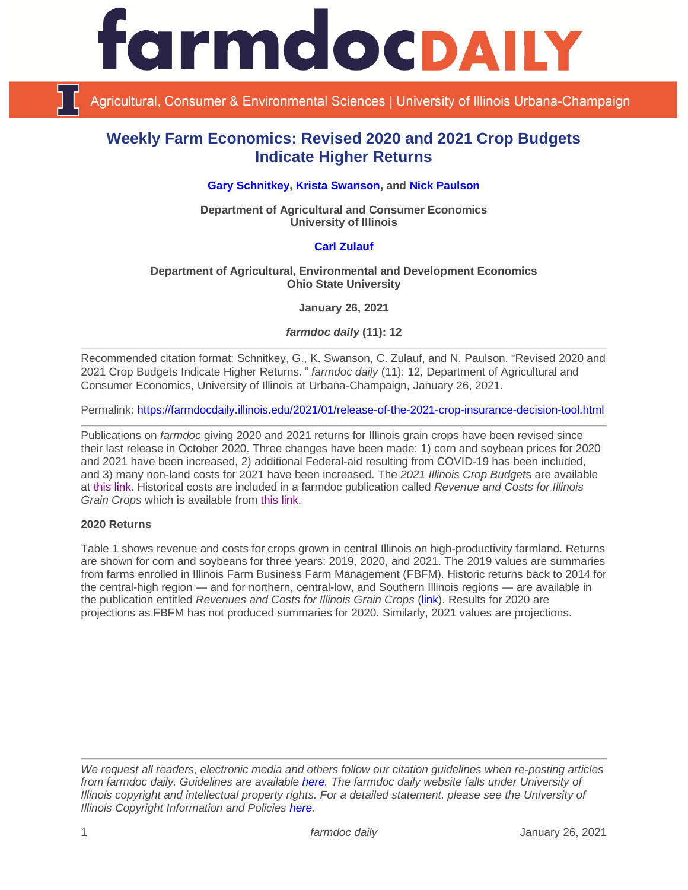

Agricultural, Consumer & Environmental Sciences | University of Illinois Urbana-Champaign

# **Weekly Farm Economics: Revised 2020 and 2021 Crop Budgets Indicate Higher Returns**

# **[Gary Schnitkey,](https://ace.illinois.edu/directory/schnitke) [Krista Swanson,](https://ace.illinois.edu/directory/krista) and [Nick Paulson](https://ace.illinois.edu/directory/npaulson)**

**Department of Agricultural and Consumer Economics University of Illinois**

# **[Carl Zulauf](http://aede.osu.edu/our-people/carl-zulauf)**

## **Department of Agricultural, Environmental and Development Economics Ohio State University**

**January 26, 2021**

*farmdoc daily* **(11): 12**

Recommended citation format: Schnitkey, G., K. Swanson, C. Zulauf, and N. Paulson. "Revised 2020 and 2021 Crop Budgets Indicate Higher Returns." *farmdoc daily* (11): 12, Department of Agricultural and Consumer Economics, University of Illinois at Urbana-Champaign, January 26, 2021.

Permalink:<https://farmdocdaily.illinois.edu/2021/01/release-of-the-2021-crop-insurance-decision-tool.html>

Publications on *farmdoc* giving 2020 and 2021 returns for Illinois grain crops have been revised since their last release in October 2020. Three changes have been made: 1) corn and soybean prices for 2020 and 2021 have been increased, 2) additional Federal-aid resulting from COVID-19 has been included, and 3) many non-land costs for 2021 have been increased. The *2021 Illinois Crop Budget*s are available at [this link.](https://farmdoc.illinois.edu/handbook/2021-budgets-for-all-regions) Historical costs are included in a farmdoc publication called *Revenue and Costs for Illinois Grain Crops* which is available from [this link.](https://farmdoc.illinois.edu/handbook/historic-corn-soybeans-wheat-and-double-crop-soybeans)

### **2020 Returns**

Table 1 shows revenue and costs for crops grown in central Illinois on high-productivity farmland. Returns are shown for corn and soybeans for three years: 2019, 2020, and 2021. The 2019 values are summaries from farms enrolled in Illinois Farm Business Farm Management (FBFM). Historic returns back to 2014 for the central-high region — and for northern, central-low, and Southern Illinois regions — are available in the publication entitled *Revenues and Costs for Illinois Grain Crops* [\(link\)](https://farmdoc.illinois.edu/handbook/historic-corn-soybeans-wheat-and-double-crop-soybeans). Results for 2020 are projections as FBFM has not produced summaries for 2020. Similarly, 2021 values are projections.

*We request all readers, electronic media and others follow our citation guidelines when re-posting articles from farmdoc daily. Guidelines are available [here.](http://farmdocdaily.illinois.edu/citationguide.html) The farmdoc daily website falls under University of Illinois copyright and intellectual property rights. For a detailed statement, please see the University of Illinois Copyright Information and Policies [here.](http://www.cio.illinois.edu/policies/copyright/)*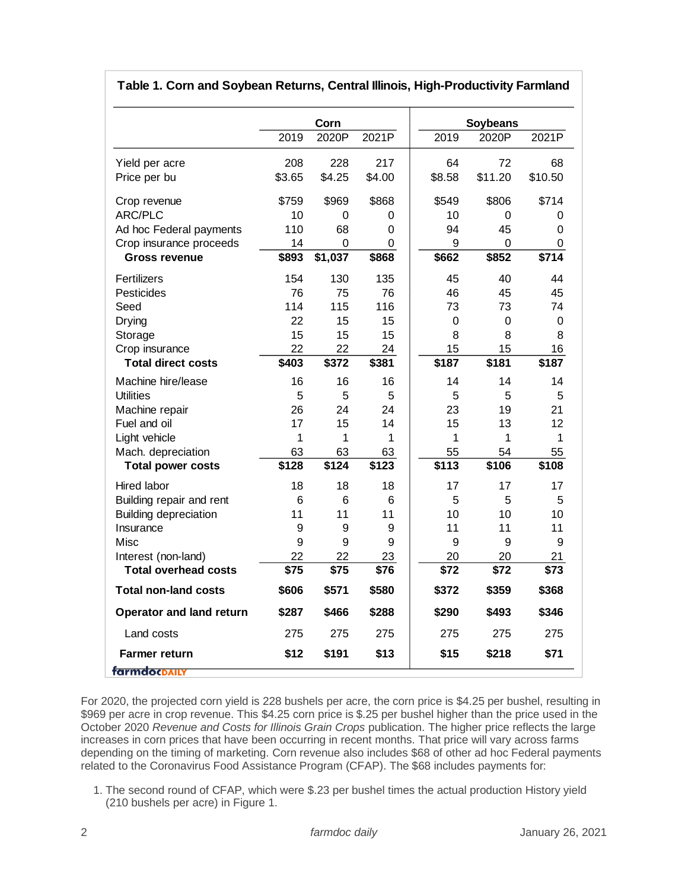|                                 | Corn   |             |        | <b>Soybeans</b> |             |         |
|---------------------------------|--------|-------------|--------|-----------------|-------------|---------|
|                                 | 2019   | 2020P       | 2021P  | 2019            | 2020P       | 2021P   |
| Yield per acre                  | 208    | 228         | 217    | 64              | 72          | 68      |
| Price per bu                    | \$3.65 | \$4.25      | \$4.00 | \$8.58          | \$11.20     | \$10.50 |
| Crop revenue                    | \$759  | \$969       | \$868  | \$549           | \$806       | \$714   |
| ARC/PLC                         | 10     | 0           | 0      | 10              | 0           | 0       |
| Ad hoc Federal payments         | 110    | 68          | 0      | 94              | 45          | 0       |
| Crop insurance proceeds         | 14     | $\mathbf 0$ | 0      | 9               | $\mathbf 0$ | 0       |
| <b>Gross revenue</b>            | \$893  | \$1,037     | \$868  | \$662           | \$852       | \$714   |
| Fertilizers                     | 154    | 130         | 135    | 45              | 40          | 44      |
| Pesticides                      | 76     | 75          | 76     | 46              | 45          | 45      |
| Seed                            | 114    | 115         | 116    | 73              | 73          | 74      |
| Drying                          | 22     | 15          | 15     | $\mathbf 0$     | $\mathbf 0$ | 0       |
| Storage                         | 15     | 15          | 15     | 8               | 8           | 8       |
| Crop insurance                  | 22     | 22          | 24     | 15              | 15          | 16      |
| <b>Total direct costs</b>       | \$403  | \$372       | \$381  | \$187           | \$181       | \$187   |
| Machine hire/lease              | 16     | 16          | 16     | 14              | 14          | 14      |
| Utilities                       | 5      | 5           | 5      | 5               | 5           | 5       |
| Machine repair                  | 26     | 24          | 24     | 23              | 19          | 21      |
| Fuel and oil                    | 17     | 15          | 14     | 15              | 13          | 12      |
| Light vehicle                   | 1      | 1           | 1      | 1               | 1           | 1       |
| Mach. depreciation              | 63     | 63          | 63     | 55              | 54          | 55      |
| <b>Total power costs</b>        | \$128  | \$124       | \$123  | \$113           | \$106       | \$108   |
| Hired labor                     | 18     | 18          | 18     | 17              | 17          | 17      |
| Building repair and rent        | 6      | 6           | 6      | 5               | 5           | 5       |
| <b>Building depreciation</b>    | 11     | 11          | 11     | 10              | 10          | 10      |
| Insurance                       | 9      | 9           | 9      | 11              | 11          | 11      |
| Misc                            | 9      | 9           | 9      | 9               | 9           | 9       |
| Interest (non-land)             | 22     | 22          | 23     | 20              | 20          | 21      |
| <b>Total overhead costs</b>     | \$75   | \$75        | \$76   | \$72            | \$72        | \$73    |
| <b>Total non-land costs</b>     | \$606  | \$571       | \$580  | \$372           | \$359       | \$368   |
| <b>Operator and land return</b> | \$287  | \$466       | \$288  | \$290           | \$493       | \$346   |
| Land costs                      | 275    | 275         | 275    | 275             | 275         | 275     |
| <b>Farmer return</b>            | \$12   | \$191       | \$13   | \$15            | \$218       | \$71    |

# **Table 1. Corn and Soybean Returns, Central Illinois, High-Productivity Farmland**

For 2020, the projected corn yield is 228 bushels per acre, the corn price is \$4.25 per bushel, resulting in \$969 per acre in crop revenue. This \$4.25 corn price is \$.25 per bushel higher than the price used in the October 2020 *Revenue and Costs for Illinois Grain Crops* publication. The higher price reflects the large increases in corn prices that have been occurring in recent months. That price will vary across farms depending on the timing of marketing. Corn revenue also includes \$68 of other ad hoc Federal payments related to the Coronavirus Food Assistance Program (CFAP). The \$68 includes payments for:

1. The second round of CFAP, which were \$.23 per bushel times the actual production History yield (210 bushels per acre) in Figure 1.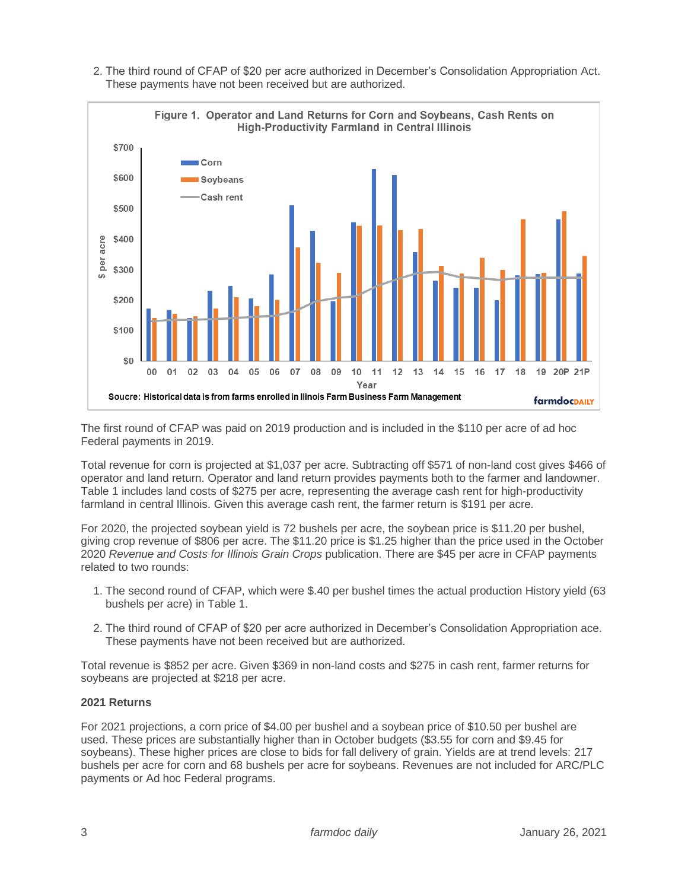2. The third round of CFAP of \$20 per acre authorized in December's Consolidation Appropriation Act. These payments have not been received but are authorized.



The first round of CFAP was paid on 2019 production and is included in the \$110 per acre of ad hoc Federal payments in 2019.

Total revenue for corn is projected at \$1,037 per acre. Subtracting off \$571 of non-land cost gives \$466 of operator and land return. Operator and land return provides payments both to the farmer and landowner. Table 1 includes land costs of \$275 per acre, representing the average cash rent for high-productivity farmland in central Illinois. Given this average cash rent, the farmer return is \$191 per acre.

For 2020, the projected soybean yield is 72 bushels per acre, the soybean price is \$11.20 per bushel, giving crop revenue of \$806 per acre. The \$11.20 price is \$1.25 higher than the price used in the October 2020 *Revenue and Costs for Illinois Grain Crops* publication. There are \$45 per acre in CFAP payments related to two rounds:

- 1. The second round of CFAP, which were \$.40 per bushel times the actual production History yield (63 bushels per acre) in Table 1.
- 2. The third round of CFAP of \$20 per acre authorized in December's Consolidation Appropriation ace. These payments have not been received but are authorized.

Total revenue is \$852 per acre. Given \$369 in non-land costs and \$275 in cash rent, farmer returns for soybeans are projected at \$218 per acre.

### **2021 Returns**

For 2021 projections, a corn price of \$4.00 per bushel and a soybean price of \$10.50 per bushel are used. These prices are substantially higher than in October budgets (\$3.55 for corn and \$9.45 for soybeans). These higher prices are close to bids for fall delivery of grain. Yields are at trend levels: 217 bushels per acre for corn and 68 bushels per acre for soybeans. Revenues are not included for ARC/PLC payments or Ad hoc Federal programs.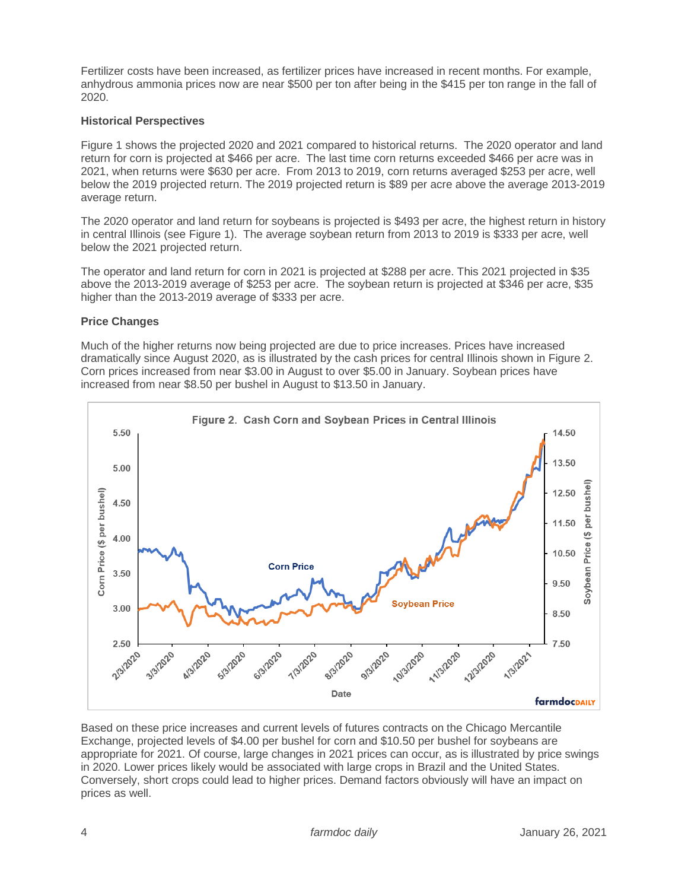Fertilizer costs have been increased, as fertilizer prices have increased in recent months. For example, anhydrous ammonia prices now are near \$500 per ton after being in the \$415 per ton range in the fall of 2020.

# **Historical Perspectives**

Figure 1 shows the projected 2020 and 2021 compared to historical returns. The 2020 operator and land return for corn is projected at \$466 per acre. The last time corn returns exceeded \$466 per acre was in 2021, when returns were \$630 per acre. From 2013 to 2019, corn returns averaged \$253 per acre, well below the 2019 projected return. The 2019 projected return is \$89 per acre above the average 2013-2019 average return.

The 2020 operator and land return for soybeans is projected is \$493 per acre, the highest return in history in central Illinois (see Figure 1). The average soybean return from 2013 to 2019 is \$333 per acre, well below the 2021 projected return.

The operator and land return for corn in 2021 is projected at \$288 per acre. This 2021 projected in \$35 above the 2013-2019 average of \$253 per acre. The soybean return is projected at \$346 per acre, \$35 higher than the 2013-2019 average of \$333 per acre.

# **Price Changes**

Much of the higher returns now being projected are due to price increases. Prices have increased dramatically since August 2020, as is illustrated by the cash prices for central Illinois shown in Figure 2. Corn prices increased from near \$3.00 in August to over \$5.00 in January. Soybean prices have increased from near \$8.50 per bushel in August to \$13.50 in January.



Based on these price increases and current levels of futures contracts on the Chicago Mercantile Exchange, projected levels of \$4.00 per bushel for corn and \$10.50 per bushel for soybeans are appropriate for 2021. Of course, large changes in 2021 prices can occur, as is illustrated by price swings in 2020. Lower prices likely would be associated with large crops in Brazil and the United States. Conversely, short crops could lead to higher prices. Demand factors obviously will have an impact on prices as well.